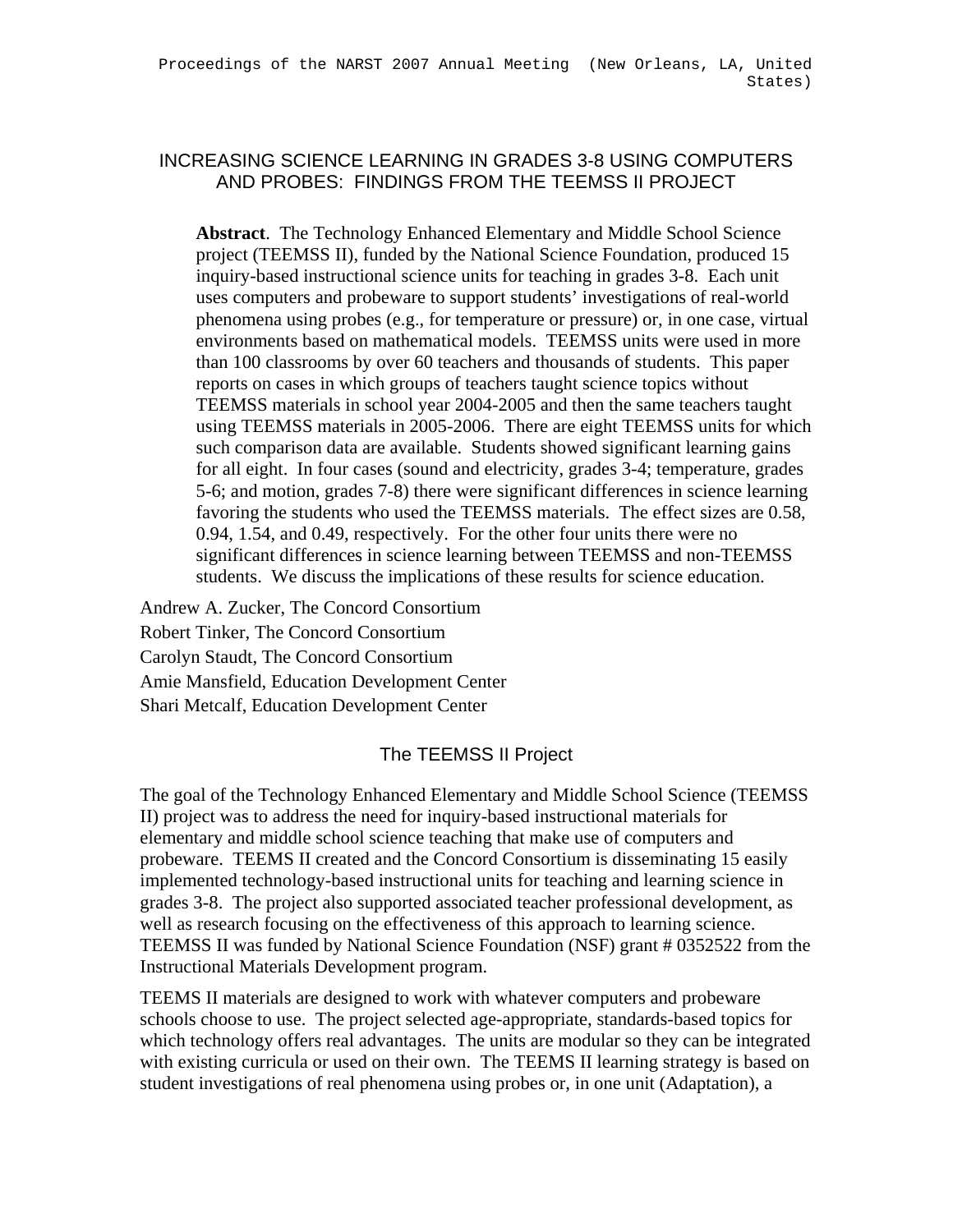## INCREASING SCIENCE LEARNING IN GRADES 3-8 USING COMPUTERS AND PROBES: FINDINGS FROM THE TEEMSS II PROJECT

**Abstract**. The Technology Enhanced Elementary and Middle School Science project (TEEMSS II), funded by the National Science Foundation, produced 15 inquiry-based instructional science units for teaching in grades 3-8. Each unit uses computers and probeware to support students' investigations of real-world phenomena using probes (e.g., for temperature or pressure) or, in one case, virtual environments based on mathematical models. TEEMSS units were used in more than 100 classrooms by over 60 teachers and thousands of students. This paper reports on cases in which groups of teachers taught science topics without TEEMSS materials in school year 2004-2005 and then the same teachers taught using TEEMSS materials in 2005-2006. There are eight TEEMSS units for which such comparison data are available. Students showed significant learning gains for all eight. In four cases (sound and electricity, grades 3-4; temperature, grades 5-6; and motion, grades 7-8) there were significant differences in science learning favoring the students who used the TEEMSS materials. The effect sizes are 0.58, 0.94, 1.54, and 0.49, respectively. For the other four units there were no significant differences in science learning between TEEMSS and non-TEEMSS students. We discuss the implications of these results for science education.

Andrew A. Zucker, The Concord Consortium Robert Tinker, The Concord Consortium Carolyn Staudt, The Concord Consortium Amie Mansfield, Education Development Center Shari Metcalf, Education Development Center

# The TEEMSS II Project

The goal of the Technology Enhanced Elementary and Middle School Science (TEEMSS II) project was to address the need for inquiry-based instructional materials for elementary and middle school science teaching that make use of computers and probeware. TEEMS II created and the Concord Consortium is disseminating 15 easily implemented technology-based instructional units for teaching and learning science in grades 3-8. The project also supported associated teacher professional development, as well as research focusing on the effectiveness of this approach to learning science. TEEMSS II was funded by National Science Foundation (NSF) grant # 0352522 from the Instructional Materials Development program.

TEEMS II materials are designed to work with whatever computers and probeware schools choose to use. The project selected age-appropriate, standards-based topics for which technology offers real advantages. The units are modular so they can be integrated with existing curricula or used on their own. The TEEMS II learning strategy is based on student investigations of real phenomena using probes or, in one unit (Adaptation), a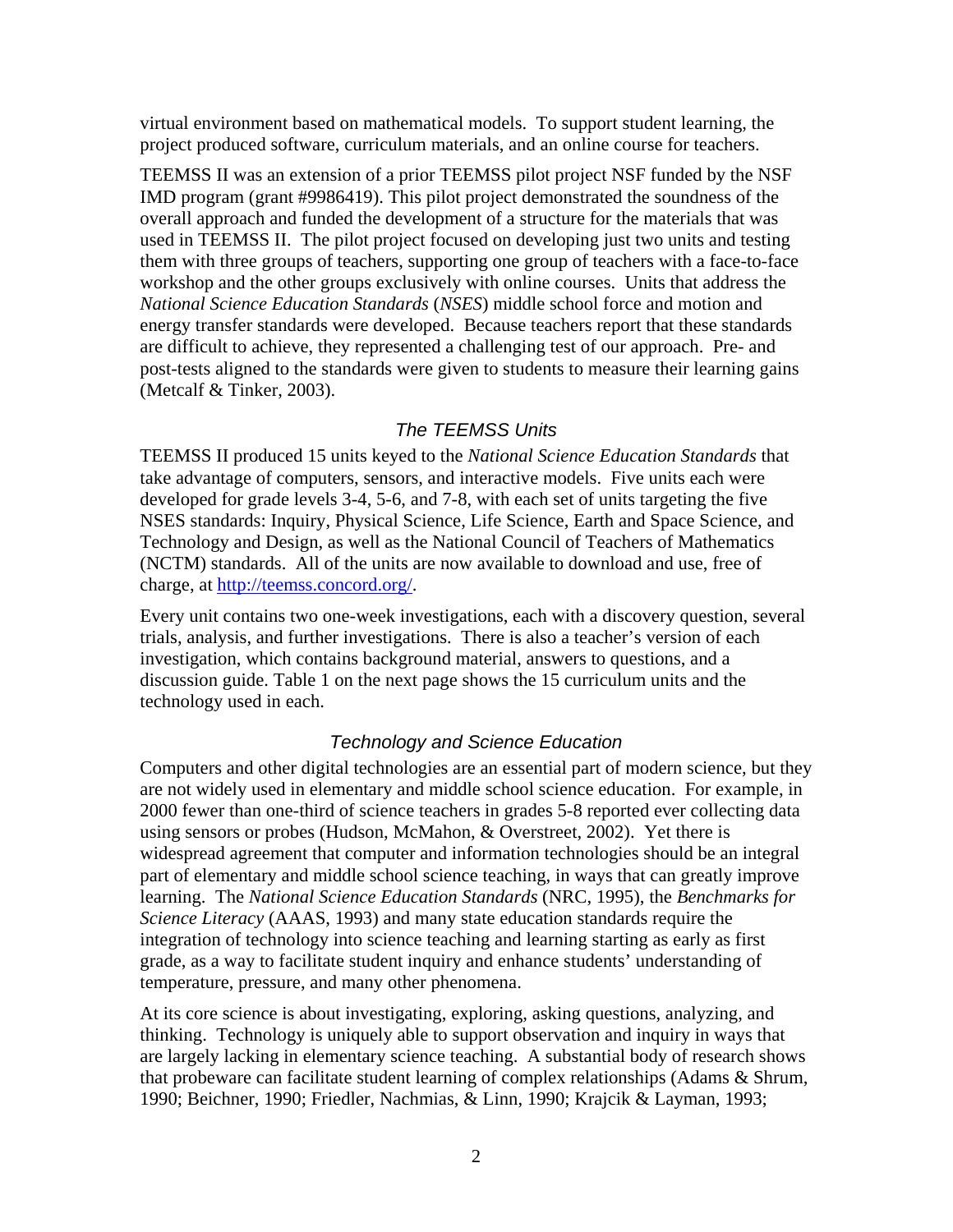virtual environment based on mathematical models. To support student learning, the project produced software, curriculum materials, and an online course for teachers.

TEEMSS II was an extension of a prior TEEMSS pilot project NSF funded by the NSF IMD program (grant #9986419). This pilot project demonstrated the soundness of the overall approach and funded the development of a structure for the materials that was used in TEEMSS II. The pilot project focused on developing just two units and testing them with three groups of teachers, supporting one group of teachers with a face-to-face workshop and the other groups exclusively with online courses. Units that address the *National Science Education Standards* (*NSES*) middle school force and motion and energy transfer standards were developed. Because teachers report that these standards are difficult to achieve, they represented a challenging test of our approach. Pre- and post-tests aligned to the standards were given to students to measure their learning gains (Metcalf & Tinker, 2003).

# *The TEEMSS Units*

TEEMSS II produced 15 units keyed to the *National Science Education Standards* that take advantage of computers, sensors, and interactive models. Five units each were developed for grade levels 3-4, 5-6, and 7-8, with each set of units targeting the five NSES standards: Inquiry, Physical Science, Life Science, Earth and Space Science, and Technology and Design, as well as the National Council of Teachers of Mathematics (NCTM) standards. All of the units are now available to download and use, free of charge, at [http://teemss.concord.org/.](http://teemss.concord.org/)

Every unit contains two one-week investigations, each with a discovery question, several trials, analysis, and further investigations. There is also a teacher's version of each investigation, which contains background material, answers to questions, and a discussion guide. Table 1 on the next page shows the 15 curriculum units and the technology used in each.

# *Technology and Science Education*

Computers and other digital technologies are an essential part of modern science, but they are not widely used in elementary and middle school science education. For example, in 2000 fewer than one-third of science teachers in grades 5-8 reported ever collecting data using sensors or probes (Hudson, McMahon, & Overstreet, 2002). Yet there is widespread agreement that computer and information technologies should be an integral part of elementary and middle school science teaching, in ways that can greatly improve learning. The *National Science Education Standards* (NRC, 1995), the *Benchmarks for Science Literacy* (AAAS, 1993) and many state education standards require the integration of technology into science teaching and learning starting as early as first grade, as a way to facilitate student inquiry and enhance students' understanding of temperature, pressure, and many other phenomena.

At its core science is about investigating, exploring, asking questions, analyzing, and thinking. Technology is uniquely able to support observation and inquiry in ways that are largely lacking in elementary science teaching. A substantial body of research shows that probeware can facilitate student learning of complex relationships (Adams & Shrum, 1990; Beichner, 1990; Friedler, Nachmias, & Linn, 1990; Krajcik & Layman, 1993;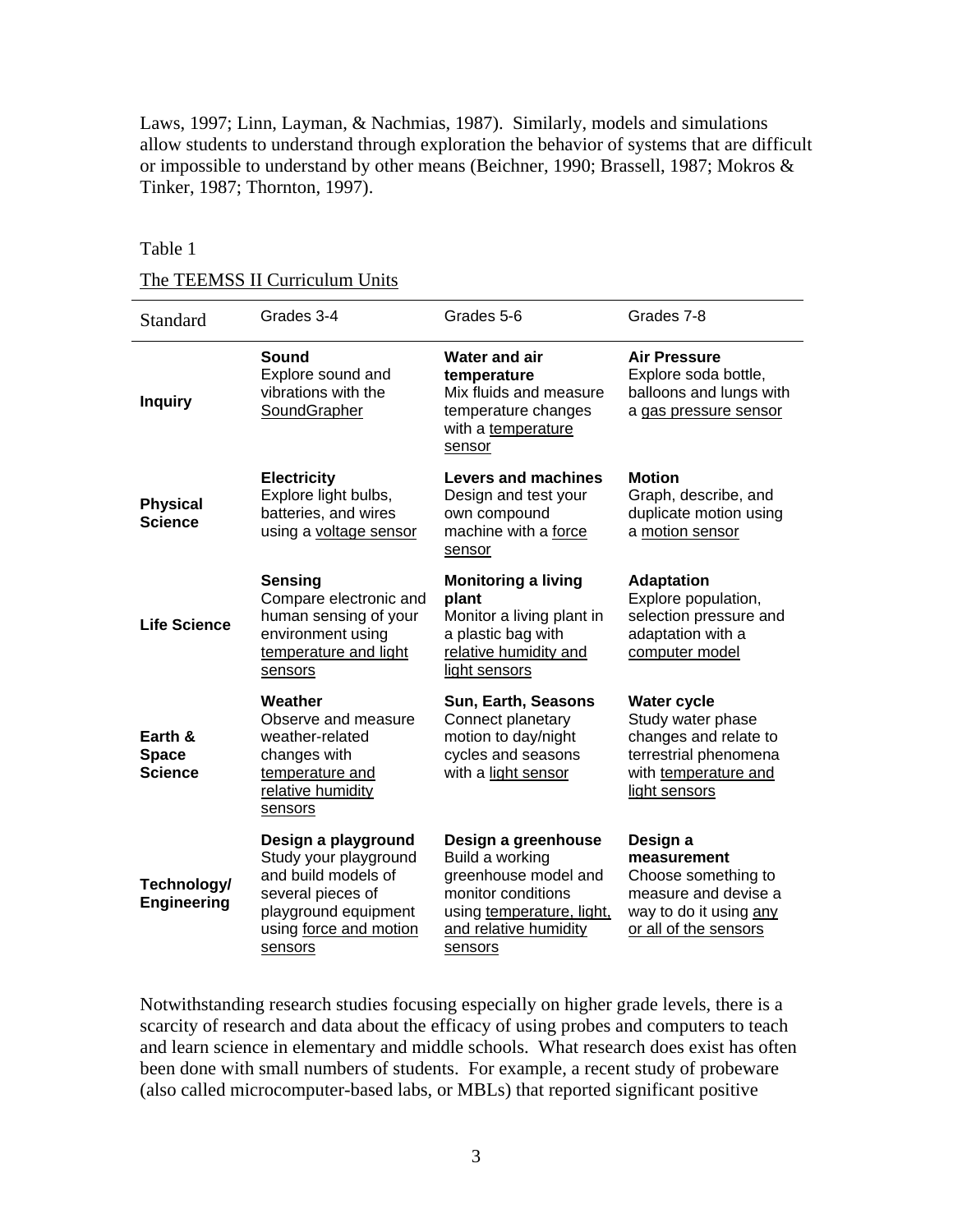Laws, 1997; Linn, Layman, & Nachmias, 1987). Similarly, models and simulations allow students to understand through exploration the behavior of systems that are difficult or impossible to understand by other means (Beichner, 1990; Brassell, 1987; Mokros & Tinker, 1987; Thornton, 1997).

#### Table 1

#### The TEEMSS II Curriculum Units

| Standard                                  | Grades 3-4                                                                                                                                            | Grades 5-6                                                                                                                                            | Grades 7-8                                                                                                                         |  |
|-------------------------------------------|-------------------------------------------------------------------------------------------------------------------------------------------------------|-------------------------------------------------------------------------------------------------------------------------------------------------------|------------------------------------------------------------------------------------------------------------------------------------|--|
| <b>Inquiry</b>                            | Sound<br>Explore sound and<br>vibrations with the<br>SoundGrapher                                                                                     | <b>Water and air</b><br>temperature<br>Mix fluids and measure<br>temperature changes<br>with a temperature<br>sensor                                  | <b>Air Pressure</b><br>Explore soda bottle,<br>balloons and lungs with<br>a gas pressure sensor                                    |  |
| <b>Physical</b><br><b>Science</b>         | <b>Electricity</b><br>Explore light bulbs,<br>batteries, and wires<br>using a voltage sensor                                                          | Levers and machines<br>Design and test your<br>own compound<br>machine with a force<br>sensor                                                         | <b>Motion</b><br>Graph, describe, and<br>duplicate motion using<br>a motion sensor                                                 |  |
| <b>Life Science</b>                       | <b>Sensing</b><br>Compare electronic and<br>human sensing of your<br>environment using<br>temperature and light<br>sensors                            | <b>Monitoring a living</b><br>plant<br>Monitor a living plant in<br>a plastic bag with<br>relative humidity and<br>light sensors                      | <b>Adaptation</b><br>Explore population,<br>selection pressure and<br>adaptation with a<br>computer model                          |  |
| Earth &<br><b>Space</b><br><b>Science</b> | Weather<br>Observe and measure<br>weather-related<br>changes with<br>temperature and<br>relative humidity<br>sensors                                  | Sun, Earth, Seasons<br>Connect planetary<br>motion to day/night<br>cycles and seasons<br>with a light sensor                                          | <b>Water cycle</b><br>Study water phase<br>changes and relate to<br>terrestrial phenomena<br>with temperature and<br>light sensors |  |
| Technology/<br><b>Engineering</b>         | Design a playground<br>Study your playground<br>and build models of<br>several pieces of<br>playground equipment<br>using force and motion<br>sensors | Design a greenhouse<br>Build a working<br>greenhouse model and<br>monitor conditions<br>using temperature, light,<br>and relative humidity<br>sensors | Design a<br>measurement<br>Choose something to<br>measure and devise a<br>way to do it using any<br>or all of the sensors          |  |

Notwithstanding research studies focusing especially on higher grade levels, there is a scarcity of research and data about the efficacy of using probes and computers to teach and learn science in elementary and middle schools. What research does exist has often been done with small numbers of students. For example, a recent study of probeware (also called microcomputer-based labs, or MBLs) that reported significant positive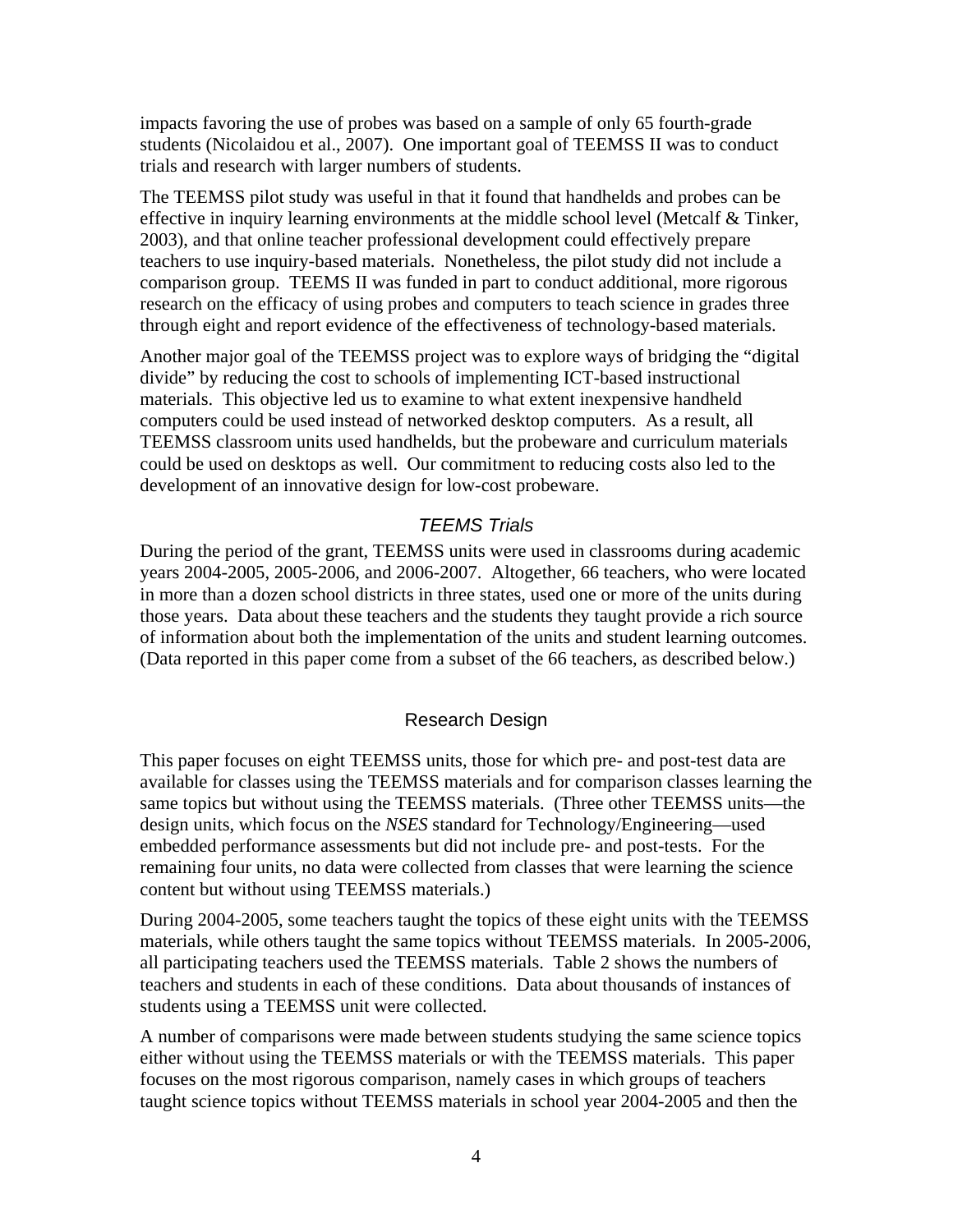impacts favoring the use of probes was based on a sample of only 65 fourth-grade students (Nicolaidou et al., 2007). One important goal of TEEMSS II was to conduct trials and research with larger numbers of students.

The TEEMSS pilot study was useful in that it found that handhelds and probes can be effective in inquiry learning environments at the middle school level (Metcalf & Tinker, 2003), and that online teacher professional development could effectively prepare teachers to use inquiry-based materials. Nonetheless, the pilot study did not include a comparison group. TEEMS II was funded in part to conduct additional, more rigorous research on the efficacy of using probes and computers to teach science in grades three through eight and report evidence of the effectiveness of technology-based materials.

Another major goal of the TEEMSS project was to explore ways of bridging the "digital divide" by reducing the cost to schools of implementing ICT-based instructional materials. This objective led us to examine to what extent inexpensive handheld computers could be used instead of networked desktop computers. As a result, all TEEMSS classroom units used handhelds, but the probeware and curriculum materials could be used on desktops as well. Our commitment to reducing costs also led to the development of an innovative design for low-cost probeware.

## *TEEMS Trials*

During the period of the grant, TEEMSS units were used in classrooms during academic years 2004-2005, 2005-2006, and 2006-2007. Altogether, 66 teachers, who were located in more than a dozen school districts in three states, used one or more of the units during those years. Data about these teachers and the students they taught provide a rich source of information about both the implementation of the units and student learning outcomes. (Data reported in this paper come from a subset of the 66 teachers, as described below.)

## Research Design

This paper focuses on eight TEEMSS units, those for which pre- and post-test data are available for classes using the TEEMSS materials and for comparison classes learning the same topics but without using the TEEMSS materials. (Three other TEEMSS units—the design units, which focus on the *NSES* standard for Technology/Engineering—used embedded performance assessments but did not include pre- and post-tests. For the remaining four units, no data were collected from classes that were learning the science content but without using TEEMSS materials.)

During 2004-2005, some teachers taught the topics of these eight units with the TEEMSS materials, while others taught the same topics without TEEMSS materials. In 2005-2006, all participating teachers used the TEEMSS materials. Table 2 shows the numbers of teachers and students in each of these conditions. Data about thousands of instances of students using a TEEMSS unit were collected.

A number of comparisons were made between students studying the same science topics either without using the TEEMSS materials or with the TEEMSS materials. This paper focuses on the most rigorous comparison, namely cases in which groups of teachers taught science topics without TEEMSS materials in school year 2004-2005 and then the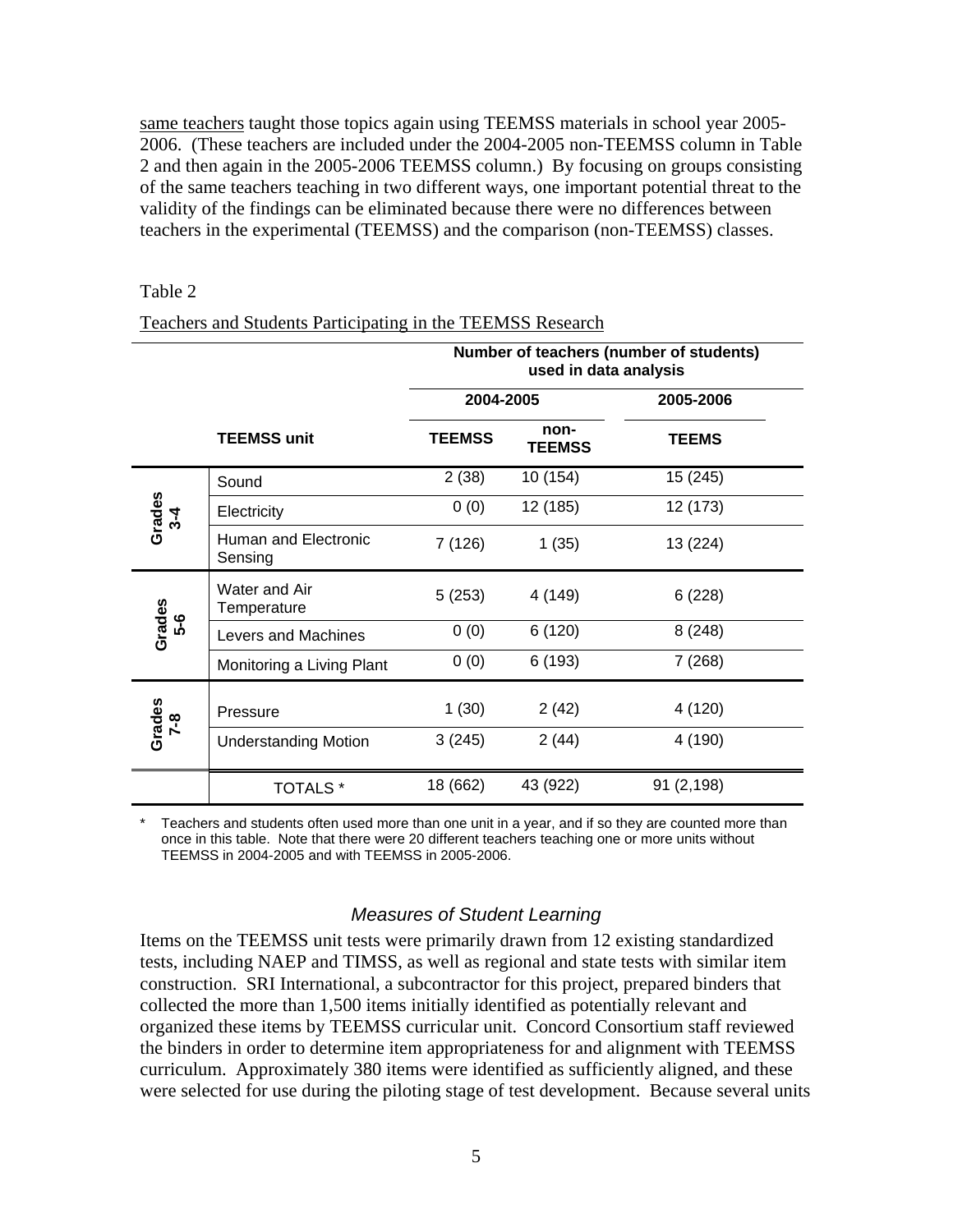same teachers taught those topics again using TEEMSS materials in school year 2005- 2006. (These teachers are included under the 2004-2005 non-TEEMSS column in Table 2 and then again in the 2005-2006 TEEMSS column.) By focusing on groups consisting of the same teachers teaching in two different ways, one important potential threat to the validity of the findings can be eliminated because there were no differences between teachers in the experimental (TEEMSS) and the comparison (non-TEEMSS) classes.

### Table 2

### Teachers and Students Participating in the TEEMSS Research

|                           | Number of teachers (number of students)<br>used in data analysis |               |                       |              |  |
|---------------------------|------------------------------------------------------------------|---------------|-----------------------|--------------|--|
|                           |                                                                  | 2004-2005     |                       | 2005-2006    |  |
|                           | <b>TEEMSS unit</b>                                               | <b>TEEMSS</b> | non-<br><b>TEEMSS</b> | <b>TEEMS</b> |  |
| Grades<br>$3\overline{4}$ | Sound                                                            | 2(38)         | 10 (154)              | 15 (245)     |  |
|                           | Electricity                                                      | 0(0)          | 12 (185)              | 12 (173)     |  |
|                           | Human and Electronic<br>Sensing                                  | 7 (126)       | 1(35)                 | 13 (224)     |  |
| Grades<br><b>გ.</b>       | Water and Air<br>Temperature                                     | 5(253)        | 4 (149)               | 6(228)       |  |
|                           | Levers and Machines                                              | 0(0)          | 6(120)                | 8(248)       |  |
|                           | Monitoring a Living Plant                                        | 0(0)          | 6 (193)               | 7(268)       |  |
| Grades<br>$7 - 8$         | Pressure                                                         | 1(30)         | 2(42)                 | 4 (120)      |  |
|                           | <b>Understanding Motion</b>                                      | 3(245)        | 2(44)                 | 4 (190)      |  |
|                           | <b>TOTALS</b> *                                                  | 18 (662)      | 43 (922)              | 91 (2,198)   |  |

Teachers and students often used more than one unit in a year, and if so they are counted more than once in this table. Note that there were 20 different teachers teaching one or more units without TEEMSS in 2004-2005 and with TEEMSS in 2005-2006.

### *Measures of Student Learning*

Items on the TEEMSS unit tests were primarily drawn from 12 existing standardized tests, including NAEP and TIMSS, as well as regional and state tests with similar item construction. SRI International, a subcontractor for this project, prepared binders that collected the more than 1,500 items initially identified as potentially relevant and organized these items by TEEMSS curricular unit. Concord Consortium staff reviewed the binders in order to determine item appropriateness for and alignment with TEEMSS curriculum. Approximately 380 items were identified as sufficiently aligned, and these were selected for use during the piloting stage of test development. Because several units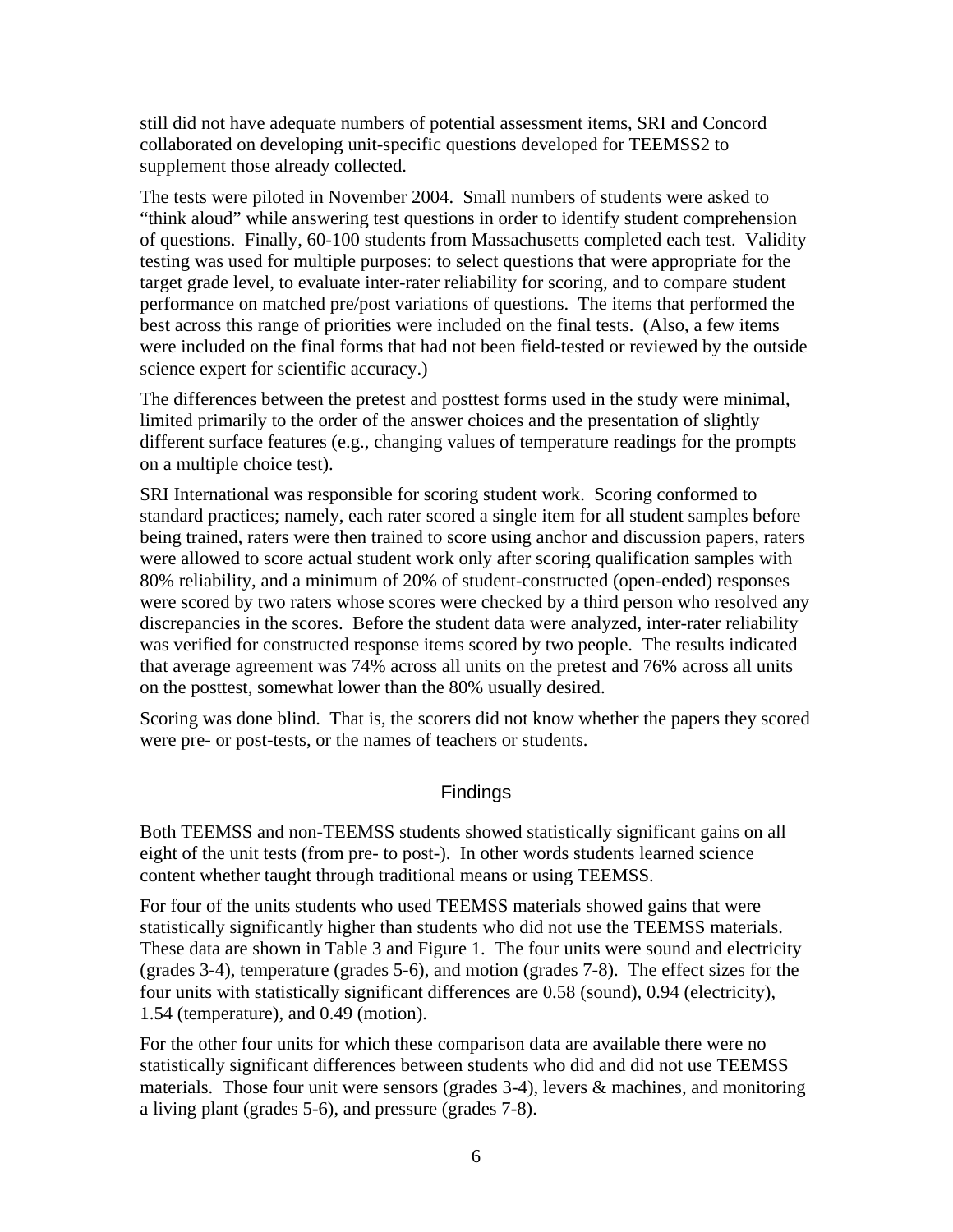still did not have adequate numbers of potential assessment items, SRI and Concord collaborated on developing unit-specific questions developed for TEEMSS2 to supplement those already collected.

The tests were piloted in November 2004. Small numbers of students were asked to "think aloud" while answering test questions in order to identify student comprehension of questions. Finally, 60-100 students from Massachusetts completed each test. Validity testing was used for multiple purposes: to select questions that were appropriate for the target grade level, to evaluate inter-rater reliability for scoring, and to compare student performance on matched pre/post variations of questions. The items that performed the best across this range of priorities were included on the final tests. (Also, a few items were included on the final forms that had not been field-tested or reviewed by the outside science expert for scientific accuracy.)

The differences between the pretest and posttest forms used in the study were minimal, limited primarily to the order of the answer choices and the presentation of slightly different surface features (e.g., changing values of temperature readings for the prompts on a multiple choice test).

SRI International was responsible for scoring student work. Scoring conformed to standard practices; namely, each rater scored a single item for all student samples before being trained, raters were then trained to score using anchor and discussion papers, raters were allowed to score actual student work only after scoring qualification samples with 80% reliability, and a minimum of 20% of student-constructed (open-ended) responses were scored by two raters whose scores were checked by a third person who resolved any discrepancies in the scores. Before the student data were analyzed, inter-rater reliability was verified for constructed response items scored by two people. The results indicated that average agreement was 74% across all units on the pretest and 76% across all units on the posttest, somewhat lower than the 80% usually desired.

Scoring was done blind. That is, the scorers did not know whether the papers they scored were pre- or post-tests, or the names of teachers or students.

## **Findings**

Both TEEMSS and non-TEEMSS students showed statistically significant gains on all eight of the unit tests (from pre- to post-). In other words students learned science content whether taught through traditional means or using TEEMSS.

For four of the units students who used TEEMSS materials showed gains that were statistically significantly higher than students who did not use the TEEMSS materials. These data are shown in Table 3 and Figure 1. The four units were sound and electricity (grades 3-4), temperature (grades 5-6), and motion (grades 7-8). The effect sizes for the four units with statistically significant differences are 0.58 (sound), 0.94 (electricity), 1.54 (temperature), and 0.49 (motion).

For the other four units for which these comparison data are available there were no statistically significant differences between students who did and did not use TEEMSS materials. Those four unit were sensors (grades 3-4), levers & machines, and monitoring a living plant (grades 5-6), and pressure (grades 7-8).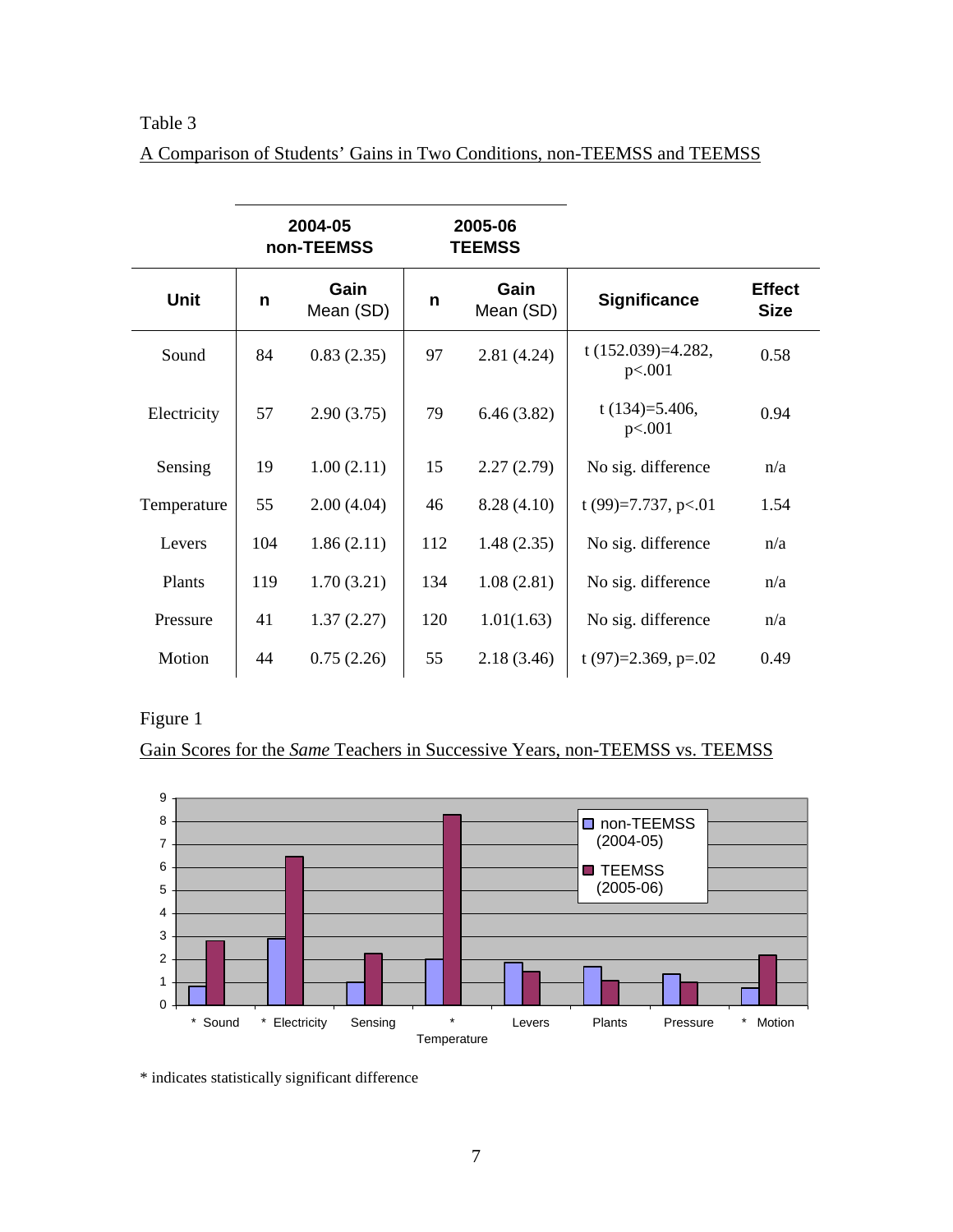# Table 3

|--|

|             |     | 2004-05<br>non-TEEMSS | 2005-06<br><b>TEEMSS</b> |                   |                                 |                              |
|-------------|-----|-----------------------|--------------------------|-------------------|---------------------------------|------------------------------|
| <b>Unit</b> | n   | Gain<br>Mean (SD)     | n                        | Gain<br>Mean (SD) | <b>Significance</b>             | <b>Effect</b><br><b>Size</b> |
| Sound       | 84  | 0.83(2.35)            | 97                       | 2.81(4.24)        | t $(152.039)=4.282$ ,<br>p<.001 | 0.58                         |
| Electricity | 57  | 2.90(3.75)            | 79                       | 6.46(3.82)        | t $(134)=5.406$ ,<br>p<.001     | 0.94                         |
| Sensing     | 19  | 1.00(2.11)            | 15                       | 2.27(2.79)        | No sig. difference              | n/a                          |
| Temperature | 55  | 2.00(4.04)            | 46                       | 8.28(4.10)        | t (99)=7.737, p<.01             | 1.54                         |
| Levers      | 104 | 1.86(2.11)            | 112                      | 1.48(2.35)        | No sig. difference              | n/a                          |
| Plants      | 119 | 1.70(3.21)            | 134                      | 1.08(2.81)        | No sig. difference              | n/a                          |
| Pressure    | 41  | 1.37(2.27)            | 120                      | 1.01(1.63)        | No sig. difference              | n/a                          |
| Motion      | 44  | 0.75(2.26)            | 55                       | 2.18(3.46)        | t (97)=2.369, p=.02             | 0.49                         |

Figure 1

Gain Scores for the *Same* Teachers in Successive Years, non-TEEMSS vs. TEEMSS



\* indicates statistically significant difference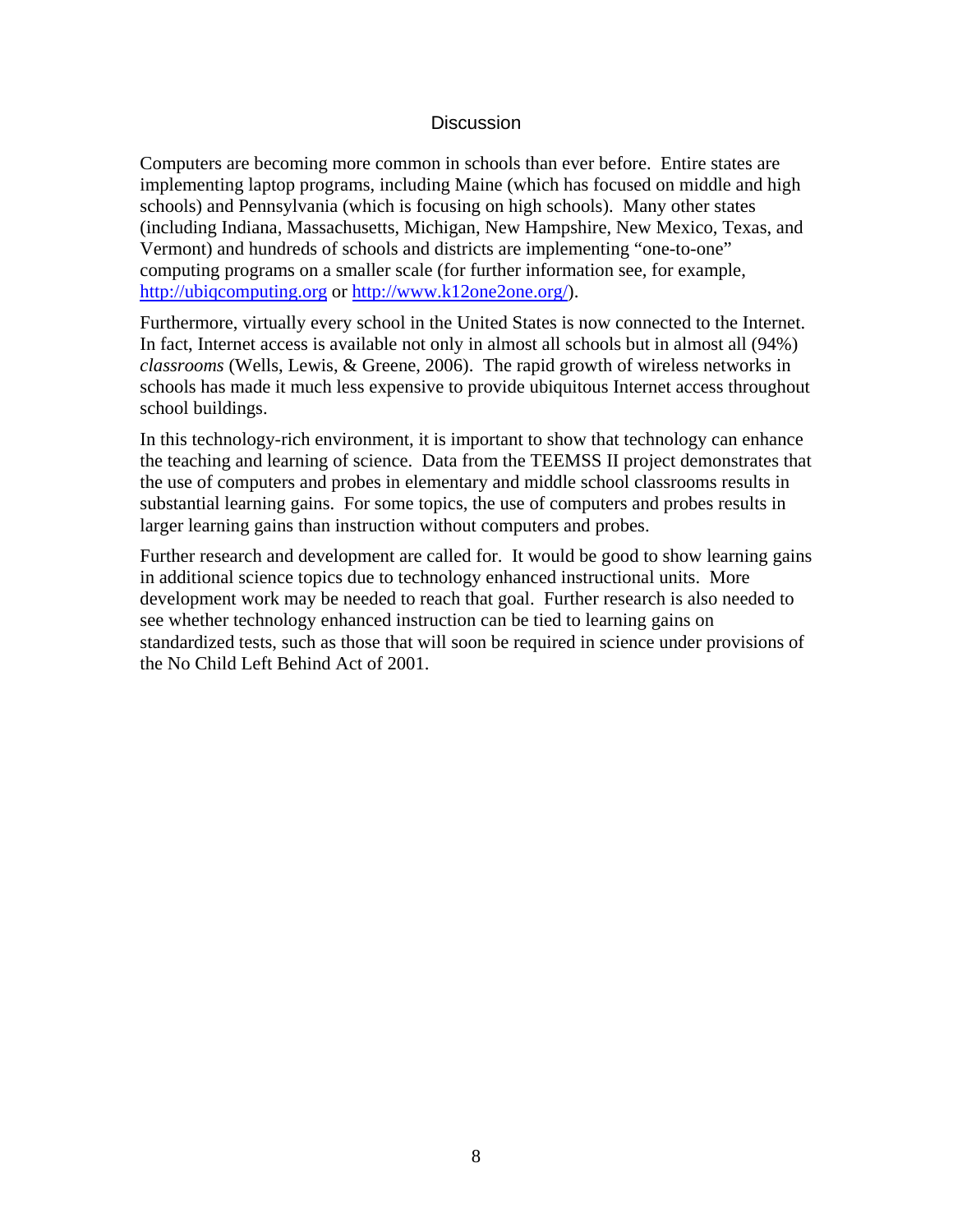## **Discussion**

Computers are becoming more common in schools than ever before. Entire states are implementing laptop programs, including Maine (which has focused on middle and high schools) and Pennsylvania (which is focusing on high schools). Many other states (including Indiana, Massachusetts, Michigan, New Hampshire, New Mexico, Texas, and Vermont) and hundreds of schools and districts are implementing "one-to-one" computing programs on a smaller scale (for further information see, for example, [http://ubiqcomputing.org](http://ubiqcomputing.org/) or [http://www.k12one2one.org/\)](http://www.k12one2one.org/).

Furthermore, virtually every school in the United States is now connected to the Internet. In fact, Internet access is available not only in almost all schools but in almost all (94%) *classrooms* (Wells, Lewis, & Greene, 2006). The rapid growth of wireless networks in schools has made it much less expensive to provide ubiquitous Internet access throughout school buildings.

In this technology-rich environment, it is important to show that technology can enhance the teaching and learning of science. Data from the TEEMSS II project demonstrates that the use of computers and probes in elementary and middle school classrooms results in substantial learning gains. For some topics, the use of computers and probes results in larger learning gains than instruction without computers and probes.

Further research and development are called for. It would be good to show learning gains in additional science topics due to technology enhanced instructional units. More development work may be needed to reach that goal. Further research is also needed to see whether technology enhanced instruction can be tied to learning gains on standardized tests, such as those that will soon be required in science under provisions of the No Child Left Behind Act of 2001.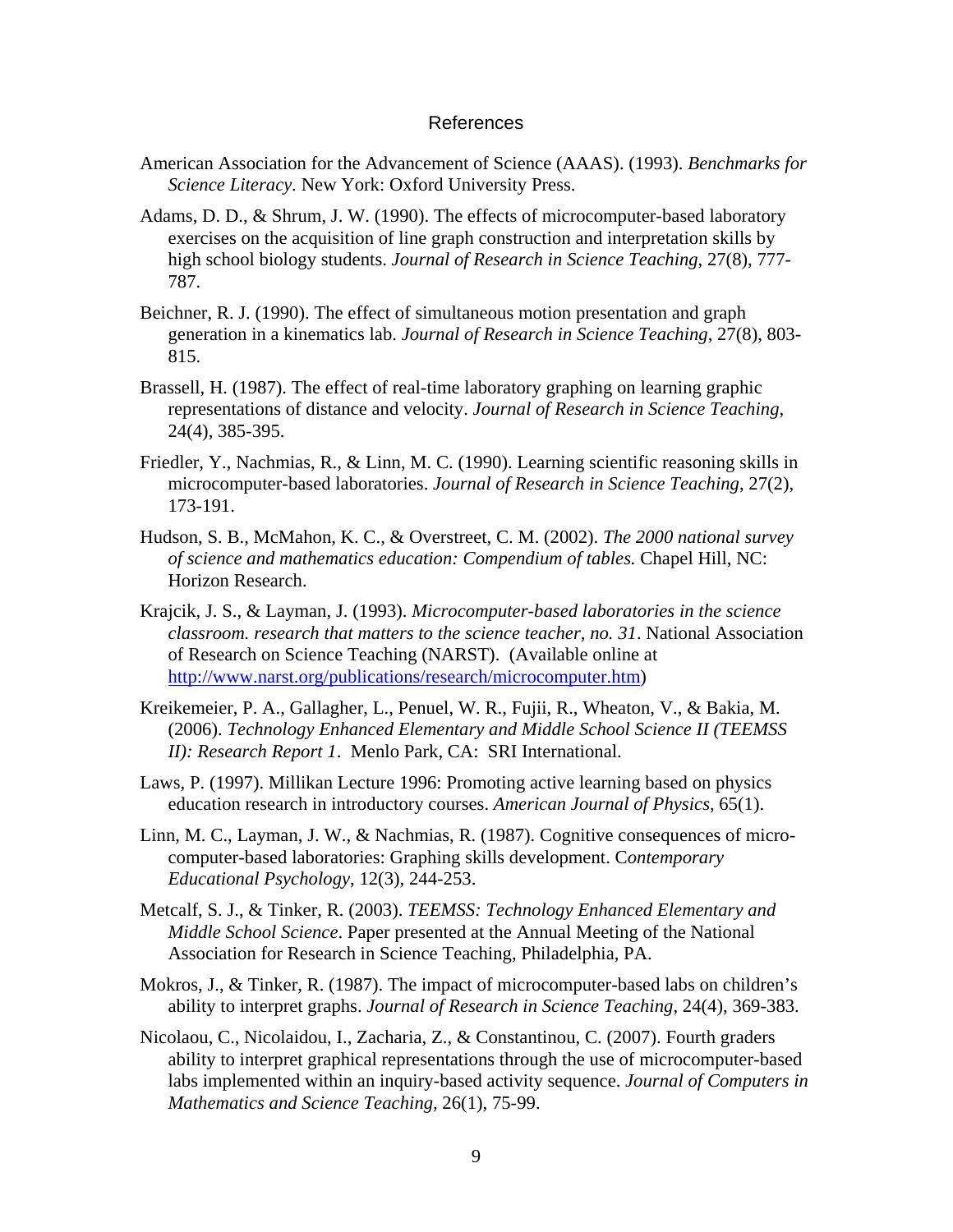#### References

- American Association for the Advancement of Science (AAAS). (1993). *Benchmarks for Science Literacy.* New York: Oxford University Press.
- Adams, D. D., & Shrum, J. W. (1990). The effects of microcomputer-based laboratory exercises on the acquisition of line graph construction and interpretation skills by high school biology students. *Journal of Research in Science Teaching*, 27(8), 777- 787.
- Beichner, R. J. (1990). The effect of simultaneous motion presentation and graph generation in a kinematics lab. *Journal of Research in Science Teaching*, 27(8), 803- 815.
- Brassell, H. (1987). The effect of real-time laboratory graphing on learning graphic representations of distance and velocity. *Journal of Research in Science Teaching*, 24(4), 385-395.
- Friedler, Y., Nachmias, R., & Linn, M. C. (1990). Learning scientific reasoning skills in microcomputer-based laboratories. *Journal of Research in Science Teaching*, 27(2), 173-191.
- Hudson, S. B., McMahon, K. C., & Overstreet, C. M. (2002). *The 2000 national survey of science and mathematics education: Compendium of tables.* Chapel Hill, NC: Horizon Research.
- Krajcik, J. S., & Layman, J. (1993). *Microcomputer-based laboratories in the science classroom. research that matters to the science teacher, no. 31*. National Association of Research on Science Teaching (NARST). (Available online at [http://www.narst.org/publications/research/microcomputer.htm\)](http://www.narst.org/publications/research/microcomputer.htm)
- Kreikemeier, P. A., Gallagher, L., Penuel, W. R., Fujii, R., Wheaton, V., & Bakia, M. (2006). *Technology Enhanced Elementary and Middle School Science II (TEEMSS II): Research Report 1*. Menlo Park, CA: SRI International.
- Laws, P. (1997). Millikan Lecture 1996: Promoting active learning based on physics education research in introductory courses. *American Journal of Physics*, 65(1).
- Linn, M. C., Layman, J. W., & Nachmias, R. (1987). Cognitive consequences of microcomputer-based laboratories: Graphing skills development. C*ontemporary Educational Psychology*, 12(3), 244-253.
- Metcalf, S. J., & Tinker, R. (2003). *TEEMSS: Technology Enhanced Elementary and Middle School Science*. Paper presented at the Annual Meeting of the National Association for Research in Science Teaching, Philadelphia, PA.
- Mokros, J., & Tinker, R. (1987). The impact of microcomputer-based labs on children's ability to interpret graphs. *Journal of Research in Science Teaching*, 24(4), 369-383.
- Nicolaou, C., Nicolaidou, I., Zacharia, Z., & Constantinou, C. (2007). Fourth graders ability to interpret graphical representations through the use of microcomputer-based labs implemented within an inquiry-based activity sequence. *Journal of Computers in Mathematics and Science Teaching,* 26(1), 75-99.